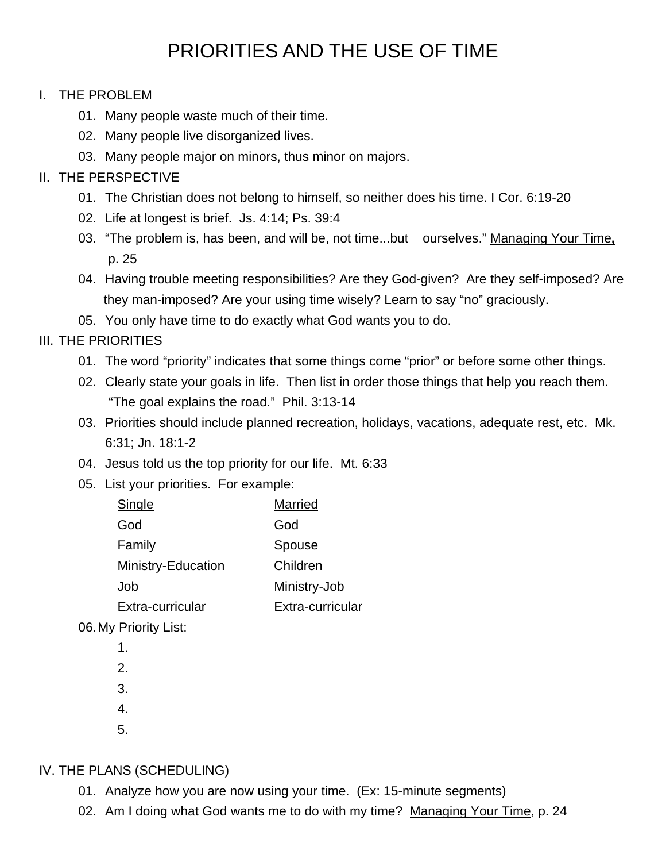# PRIORITIES AND THE USE OF TIME

#### I. THE PROBLEM

- 01. Many people waste much of their time.
- 02. Many people live disorganized lives.
- 03. Many people major on minors, thus minor on majors.

## II. THE PERSPECTIVE

- 01. The Christian does not belong to himself, so neither does his time. I Cor. 6:19-20
- 02. Life at longest is brief. Js. 4:14; Ps. 39:4
- 03. "The problem is, has been, and will be, not time...but ourselves." Managing Your Time**,** p. 25
- 04. Having trouble meeting responsibilities? Are they God-given? Are they self-imposed? Are they man-imposed? Are your using time wisely? Learn to say "no" graciously.
- 05. You only have time to do exactly what God wants you to do.

## III. THE PRIORITIES

- 01. The word "priority" indicates that some things come "prior" or before some other things.
- 02. Clearly state your goals in life. Then list in order those things that help you reach them. "The goal explains the road." Phil. 3:13-14
- 03. Priorities should include planned recreation, holidays, vacations, adequate rest, etc. Mk. 6:31; Jn. 18:1-2
- 04. Jesus told us the top priority for our life. Mt. 6:33
- 05. List your priorities. For example:

| Single             | <b>Married</b>   |
|--------------------|------------------|
| God                | God              |
| Family             | Spouse           |
| Ministry-Education | Children         |
| Job                | Ministry-Job     |
| Extra-curricular   | Extra-curricular |
|                    |                  |

06. My Priority List:

- 1.
- 2.
- 3.
- 4.
- 5.

## IV. THE PLANS (SCHEDULING)

- 01. Analyze how you are now using your time. (Ex: 15-minute segments)
- 02. Am I doing what God wants me to do with my time? Managing Your Time, p. 24